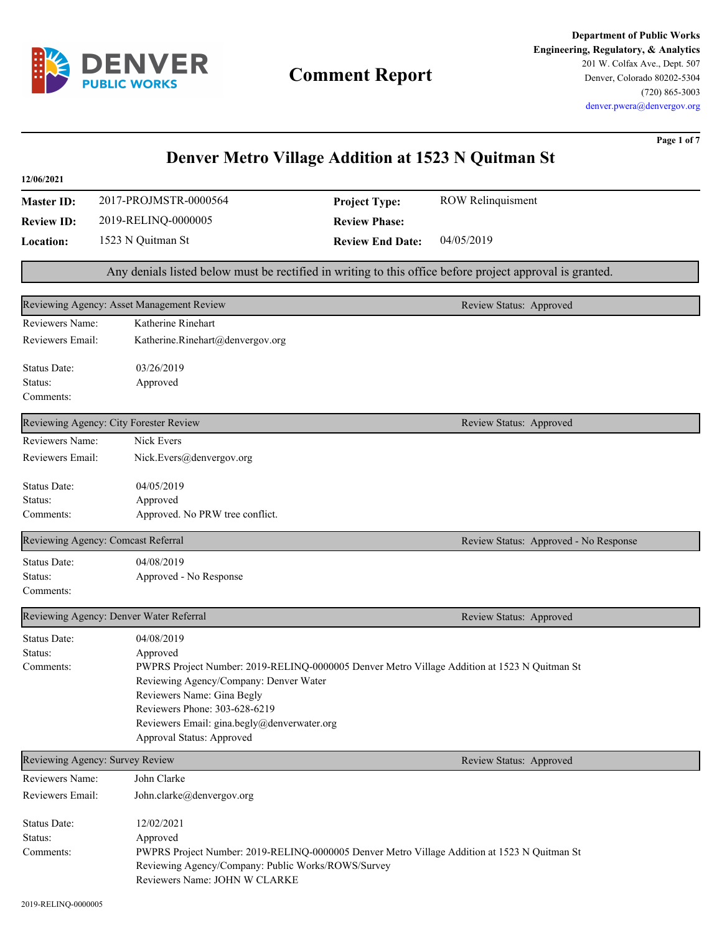

# **Comment Report**

**Department of Public Works Engineering, Regulatory, & Analytics** 201 W. Colfax Ave., Dept. 507 Denver, Colorado 80202-5304 (720) 865-3003 denver.pwera@denvergov.org

**Page 1 of 7**

| Denver Metro Village Addition at 1523 N Quitman St |                                                                                                                                        |                         |                                                                                                          |
|----------------------------------------------------|----------------------------------------------------------------------------------------------------------------------------------------|-------------------------|----------------------------------------------------------------------------------------------------------|
| 12/06/2021                                         |                                                                                                                                        |                         |                                                                                                          |
| <b>Master ID:</b>                                  | 2017-PROJMSTR-0000564                                                                                                                  | <b>Project Type:</b>    | <b>ROW Relinquisment</b>                                                                                 |
| <b>Review ID:</b>                                  | 2019-RELINQ-0000005                                                                                                                    | <b>Review Phase:</b>    |                                                                                                          |
| <b>Location:</b>                                   | 1523 N Quitman St                                                                                                                      | <b>Review End Date:</b> | 04/05/2019                                                                                               |
|                                                    |                                                                                                                                        |                         | Any denials listed below must be rectified in writing to this office before project approval is granted. |
|                                                    | Reviewing Agency: Asset Management Review                                                                                              |                         | Review Status: Approved                                                                                  |
| Reviewers Name:                                    | Katherine Rinehart                                                                                                                     |                         |                                                                                                          |
| Reviewers Email:                                   | Katherine.Rinehart@denvergov.org                                                                                                       |                         |                                                                                                          |
| Status Date:<br>Status:<br>Comments:               | 03/26/2019<br>Approved                                                                                                                 |                         |                                                                                                          |
|                                                    | Reviewing Agency: City Forester Review                                                                                                 |                         | Review Status: Approved                                                                                  |
| Reviewers Name:                                    | Nick Evers                                                                                                                             |                         |                                                                                                          |
| Reviewers Email:                                   | Nick.Evers@denvergov.org                                                                                                               |                         |                                                                                                          |
| Status Date:                                       | 04/05/2019                                                                                                                             |                         |                                                                                                          |
| Status:                                            | Approved                                                                                                                               |                         |                                                                                                          |
| Comments:                                          | Approved. No PRW tree conflict.                                                                                                        |                         |                                                                                                          |
|                                                    | Reviewing Agency: Comcast Referral                                                                                                     |                         | Review Status: Approved - No Response                                                                    |
| Status Date:                                       | 04/08/2019                                                                                                                             |                         |                                                                                                          |
| Status:                                            | Approved - No Response                                                                                                                 |                         |                                                                                                          |
| Comments:                                          |                                                                                                                                        |                         |                                                                                                          |
|                                                    | Reviewing Agency: Denver Water Referral                                                                                                |                         | Review Status: Approved                                                                                  |
| Status Date:                                       | 04/08/2019                                                                                                                             |                         |                                                                                                          |
| Status:                                            | Approved                                                                                                                               |                         |                                                                                                          |
| Comments:                                          | PWPRS Project Number: 2019-RELINQ-0000005 Denver Metro Village Addition at 1523 N Quitman St<br>Reviewing Agency/Company: Denver Water |                         |                                                                                                          |
|                                                    | Reviewers Name: Gina Begly                                                                                                             |                         |                                                                                                          |
|                                                    | Reviewers Phone: 303-628-6219                                                                                                          |                         |                                                                                                          |
|                                                    | Reviewers Email: gina.begly@denverwater.org                                                                                            |                         |                                                                                                          |
|                                                    | Approval Status: Approved                                                                                                              |                         |                                                                                                          |
|                                                    | Reviewing Agency: Survey Review                                                                                                        |                         | Review Status: Approved                                                                                  |
| Reviewers Name:                                    | John Clarke                                                                                                                            |                         |                                                                                                          |
| Reviewers Email:                                   | John.clarke@denvergov.org                                                                                                              |                         |                                                                                                          |
| Status Date:                                       | 12/02/2021                                                                                                                             |                         |                                                                                                          |
| Status:                                            | Approved                                                                                                                               |                         |                                                                                                          |
| Comments:                                          | PWPRS Project Number: 2019-RELINQ-0000005 Denver Metro Village Addition at 1523 N Quitman St                                           |                         |                                                                                                          |
|                                                    | Reviewing Agency/Company: Public Works/ROWS/Survey                                                                                     |                         |                                                                                                          |
|                                                    | Reviewers Name: JOHN W CLARKE                                                                                                          |                         |                                                                                                          |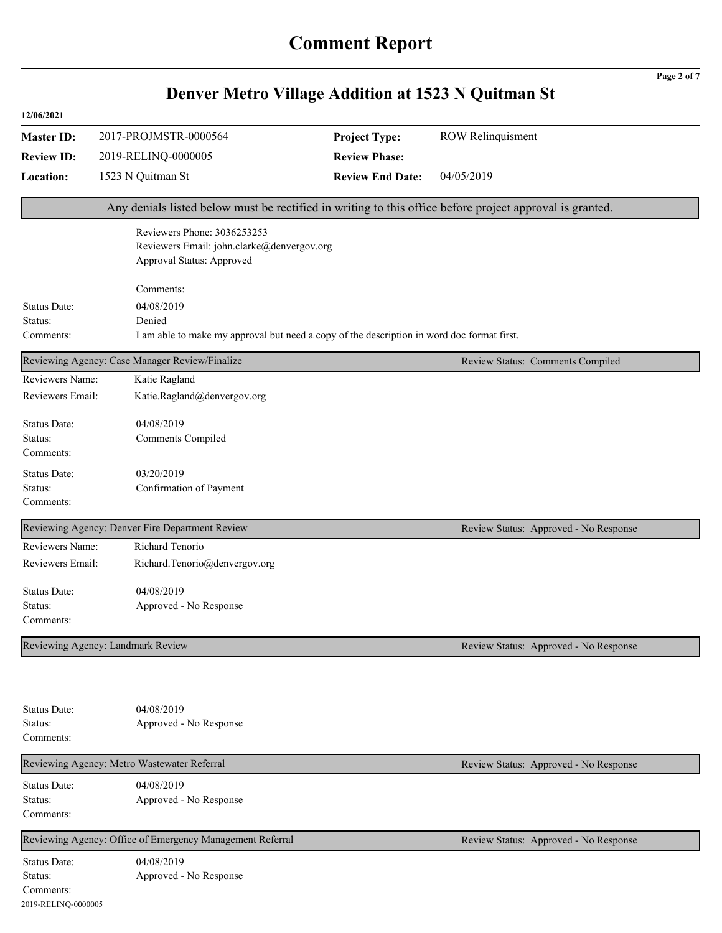|                                                             |                                                                                                          | Denver Metro Village Addition at 1523 N Quitman St |                                       | Page 2 of 7 |
|-------------------------------------------------------------|----------------------------------------------------------------------------------------------------------|----------------------------------------------------|---------------------------------------|-------------|
| 12/06/2021                                                  |                                                                                                          |                                                    |                                       |             |
| <b>Master ID:</b>                                           | 2017-PROJMSTR-0000564                                                                                    | <b>Project Type:</b>                               | <b>ROW Relinquisment</b>              |             |
| <b>Review ID:</b>                                           | 2019-RELINQ-0000005                                                                                      | <b>Review Phase:</b>                               |                                       |             |
| Location:                                                   | 1523 N Quitman St                                                                                        | <b>Review End Date:</b>                            | 04/05/2019                            |             |
|                                                             | Any denials listed below must be rectified in writing to this office before project approval is granted. |                                                    |                                       |             |
|                                                             | Reviewers Phone: 3036253253<br>Reviewers Email: john.clarke@denvergov.org<br>Approval Status: Approved   |                                                    |                                       |             |
|                                                             | Comments:                                                                                                |                                                    |                                       |             |
| Status Date:                                                | 04/08/2019                                                                                               |                                                    |                                       |             |
| Status:<br>Comments:                                        | Denied<br>I am able to make my approval but need a copy of the description in word doc format first.     |                                                    |                                       |             |
|                                                             |                                                                                                          |                                                    |                                       |             |
|                                                             | Reviewing Agency: Case Manager Review/Finalize                                                           |                                                    | Review Status: Comments Compiled      |             |
| Reviewers Name:<br>Reviewers Email:                         | Katie Ragland<br>Katie.Ragland@denvergov.org                                                             |                                                    |                                       |             |
| Status Date:<br>Status:<br>Comments:                        | 04/08/2019<br>Comments Compiled                                                                          |                                                    |                                       |             |
| Status Date:<br>Status:<br>Comments:                        | 03/20/2019<br>Confirmation of Payment                                                                    |                                                    |                                       |             |
|                                                             | Reviewing Agency: Denver Fire Department Review                                                          |                                                    | Review Status: Approved - No Response |             |
| Reviewers Name:<br>Reviewers Email:                         | Richard Tenorio<br>Richard.Tenorio@denvergov.org                                                         |                                                    |                                       |             |
| Status Date:<br>Status:<br>Comments:                        | 04/08/2019<br>Approved - No Response                                                                     |                                                    |                                       |             |
|                                                             | Reviewing Agency: Landmark Review                                                                        |                                                    | Review Status: Approved - No Response |             |
| Status Date:<br>Status:<br>Comments:                        | 04/08/2019<br>Approved - No Response                                                                     |                                                    |                                       |             |
|                                                             | Reviewing Agency: Metro Wastewater Referral                                                              |                                                    | Review Status: Approved - No Response |             |
| Status Date:<br>Status:<br>Comments:                        | 04/08/2019<br>Approved - No Response                                                                     |                                                    |                                       |             |
|                                                             | Reviewing Agency: Office of Emergency Management Referral                                                |                                                    | Review Status: Approved - No Response |             |
| Status Date:<br>Status:<br>Comments:<br>2019-RELINQ-0000005 | 04/08/2019<br>Approved - No Response                                                                     |                                                    |                                       |             |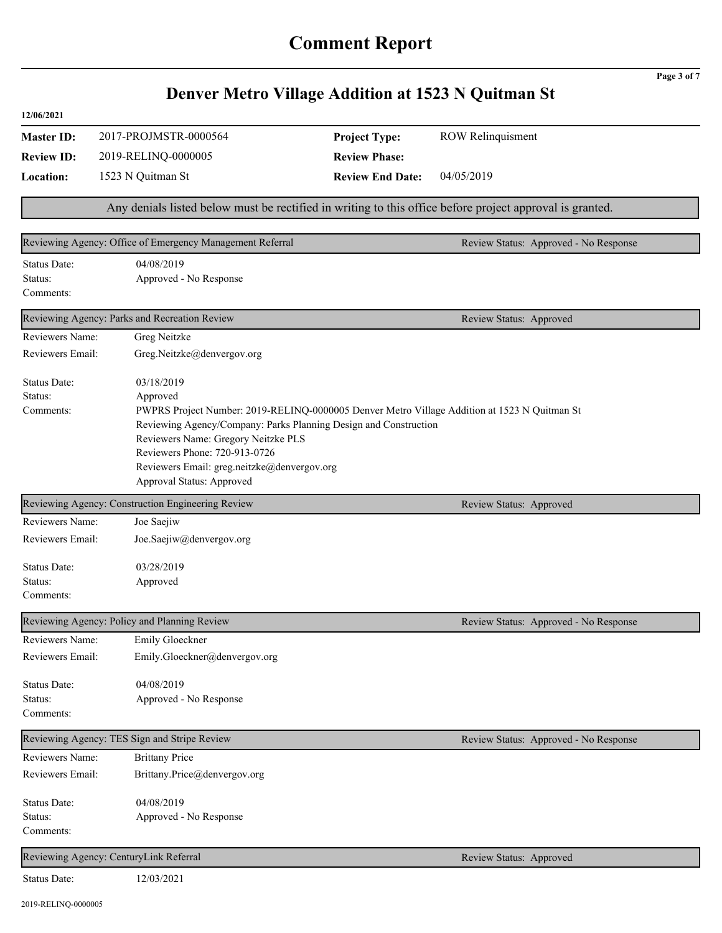|                                      |                                                                                                                                                                                                                                                                                                                                                | Denver Metro Village Addition at 1523 N Quitman St |                                       | Page 3 of 7 |
|--------------------------------------|------------------------------------------------------------------------------------------------------------------------------------------------------------------------------------------------------------------------------------------------------------------------------------------------------------------------------------------------|----------------------------------------------------|---------------------------------------|-------------|
| 12/06/2021                           |                                                                                                                                                                                                                                                                                                                                                |                                                    |                                       |             |
| <b>Master ID:</b>                    | 2017-PROJMSTR-0000564                                                                                                                                                                                                                                                                                                                          | <b>Project Type:</b>                               | <b>ROW Relinquisment</b>              |             |
| <b>Review ID:</b>                    | 2019-RELINQ-0000005                                                                                                                                                                                                                                                                                                                            | <b>Review Phase:</b>                               |                                       |             |
| Location:                            | 1523 N Quitman St                                                                                                                                                                                                                                                                                                                              | <b>Review End Date:</b>                            | 04/05/2019                            |             |
|                                      | Any denials listed below must be rectified in writing to this office before project approval is granted.                                                                                                                                                                                                                                       |                                                    |                                       |             |
|                                      | Reviewing Agency: Office of Emergency Management Referral                                                                                                                                                                                                                                                                                      |                                                    | Review Status: Approved - No Response |             |
| Status Date:<br>Status:<br>Comments: | 04/08/2019<br>Approved - No Response                                                                                                                                                                                                                                                                                                           |                                                    |                                       |             |
|                                      | Reviewing Agency: Parks and Recreation Review                                                                                                                                                                                                                                                                                                  |                                                    | Review Status: Approved               |             |
| Reviewers Name:                      | Greg Neitzke                                                                                                                                                                                                                                                                                                                                   |                                                    |                                       |             |
| Reviewers Email:                     | Greg.Neitzke@denvergov.org                                                                                                                                                                                                                                                                                                                     |                                                    |                                       |             |
| Status Date:<br>Status:<br>Comments: | 03/18/2019<br>Approved<br>PWPRS Project Number: 2019-RELINQ-0000005 Denver Metro Village Addition at 1523 N Quitman St<br>Reviewing Agency/Company: Parks Planning Design and Construction<br>Reviewers Name: Gregory Neitzke PLS<br>Reviewers Phone: 720-913-0726<br>Reviewers Email: greg.neitzke@denvergov.org<br>Approval Status: Approved |                                                    |                                       |             |
|                                      | Reviewing Agency: Construction Engineering Review                                                                                                                                                                                                                                                                                              |                                                    | Review Status: Approved               |             |
| Reviewers Name:<br>Reviewers Email:  | Joe Saejiw<br>Joe.Saejiw@denvergov.org                                                                                                                                                                                                                                                                                                         |                                                    |                                       |             |
| Status Date:<br>Status:<br>Comments: | 03/28/2019<br>Approved                                                                                                                                                                                                                                                                                                                         |                                                    |                                       |             |
|                                      | Reviewing Agency: Policy and Planning Review                                                                                                                                                                                                                                                                                                   |                                                    | Review Status: Approved - No Response |             |
| Reviewers Name:                      | Emily Gloeckner                                                                                                                                                                                                                                                                                                                                |                                                    |                                       |             |
| Reviewers Email:                     | Emily.Gloeckner@denvergov.org                                                                                                                                                                                                                                                                                                                  |                                                    |                                       |             |
| Status Date:<br>Status:<br>Comments: | 04/08/2019<br>Approved - No Response                                                                                                                                                                                                                                                                                                           |                                                    |                                       |             |
|                                      | Reviewing Agency: TES Sign and Stripe Review                                                                                                                                                                                                                                                                                                   |                                                    | Review Status: Approved - No Response |             |
| Reviewers Name:                      | <b>Brittany Price</b>                                                                                                                                                                                                                                                                                                                          |                                                    |                                       |             |
| Reviewers Email:                     | Brittany.Price@denvergov.org                                                                                                                                                                                                                                                                                                                   |                                                    |                                       |             |
| Status Date:<br>Status:<br>Comments: | 04/08/2019<br>Approved - No Response                                                                                                                                                                                                                                                                                                           |                                                    |                                       |             |
|                                      | Reviewing Agency: CenturyLink Referral                                                                                                                                                                                                                                                                                                         |                                                    | Review Status: Approved               |             |
| Status Date:                         | 12/03/2021                                                                                                                                                                                                                                                                                                                                     |                                                    |                                       |             |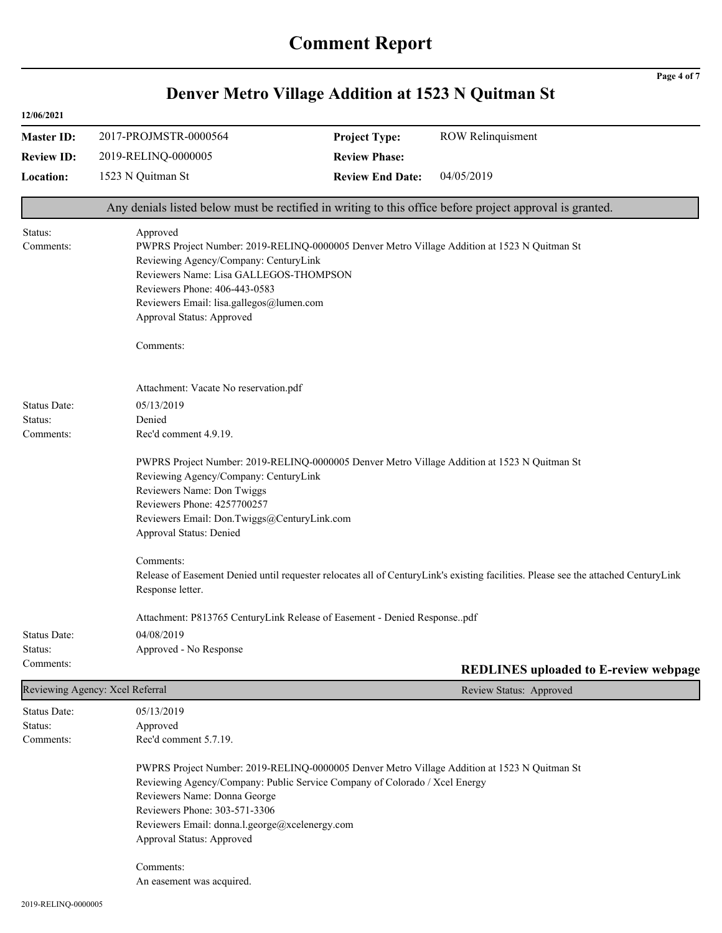|                                      |                                                                                                                                                                                                                                                                                                                            | Denver Metro Village Addition at 1523 N Quitman St                                                                                                                                                                                                            | Page 4 of 7                                  |  |
|--------------------------------------|----------------------------------------------------------------------------------------------------------------------------------------------------------------------------------------------------------------------------------------------------------------------------------------------------------------------------|---------------------------------------------------------------------------------------------------------------------------------------------------------------------------------------------------------------------------------------------------------------|----------------------------------------------|--|
| 12/06/2021                           |                                                                                                                                                                                                                                                                                                                            |                                                                                                                                                                                                                                                               |                                              |  |
| <b>Master ID:</b>                    | 2017-PROJMSTR-0000564                                                                                                                                                                                                                                                                                                      | <b>Project Type:</b>                                                                                                                                                                                                                                          | <b>ROW Relinquisment</b>                     |  |
| <b>Review ID:</b>                    | 2019-RELINQ-0000005                                                                                                                                                                                                                                                                                                        | <b>Review Phase:</b>                                                                                                                                                                                                                                          |                                              |  |
| Location:                            | 1523 N Quitman St                                                                                                                                                                                                                                                                                                          | <b>Review End Date:</b>                                                                                                                                                                                                                                       | 04/05/2019                                   |  |
|                                      | Any denials listed below must be rectified in writing to this office before project approval is granted.                                                                                                                                                                                                                   |                                                                                                                                                                                                                                                               |                                              |  |
| Status:<br>Comments:                 | Approved<br>PWPRS Project Number: 2019-RELINQ-0000005 Denver Metro Village Addition at 1523 N Quitman St<br>Reviewing Agency/Company: CenturyLink<br>Reviewers Name: Lisa GALLEGOS-THOMPSON<br>Reviewers Phone: 406-443-0583<br>Reviewers Email: lisa.gallegos@lumen.com<br>Approval Status: Approved<br>Comments:         |                                                                                                                                                                                                                                                               |                                              |  |
| Status Date:<br>Status:<br>Comments: | Attachment: Vacate No reservation.pdf<br>05/13/2019<br>Denied<br>Rec'd comment 4.9.19.<br>PWPRS Project Number: 2019-RELINQ-0000005 Denver Metro Village Addition at 1523 N Quitman St<br>Reviewing Agency/Company: CenturyLink<br>Reviewers Name: Don Twiggs<br>Reviewers Phone: 4257700257                               |                                                                                                                                                                                                                                                               |                                              |  |
|                                      | Approval Status: Denied<br>Comments:<br>Response letter.                                                                                                                                                                                                                                                                   | Reviewers Email: Don.Twiggs@CenturyLink.com<br>Release of Easement Denied until requester relocates all of CenturyLink's existing facilities. Please see the attached CenturyLink<br>Attachment: P813765 CenturyLink Release of Easement - Denied Responsepdf |                                              |  |
| <b>Status Date:</b>                  | 04/08/2019                                                                                                                                                                                                                                                                                                                 |                                                                                                                                                                                                                                                               |                                              |  |
| Status:                              | Approved - No Response                                                                                                                                                                                                                                                                                                     |                                                                                                                                                                                                                                                               |                                              |  |
| Comments:                            |                                                                                                                                                                                                                                                                                                                            |                                                                                                                                                                                                                                                               | <b>REDLINES</b> uploaded to E-review webpage |  |
|                                      | Reviewing Agency: Xcel Referral                                                                                                                                                                                                                                                                                            |                                                                                                                                                                                                                                                               | Review Status: Approved                      |  |
| Status Date:<br>Status:<br>Comments: | 05/13/2019<br>Approved<br>Rec'd comment 5.7.19.                                                                                                                                                                                                                                                                            |                                                                                                                                                                                                                                                               |                                              |  |
|                                      | PWPRS Project Number: 2019-RELINQ-0000005 Denver Metro Village Addition at 1523 N Quitman St<br>Reviewing Agency/Company: Public Service Company of Colorado / Xcel Energy<br>Reviewers Name: Donna George<br>Reviewers Phone: 303-571-3306<br>Reviewers Email: donna.l.george@xcelenergy.com<br>Approval Status: Approved |                                                                                                                                                                                                                                                               |                                              |  |
|                                      | Comments:<br>An easement was acquired.                                                                                                                                                                                                                                                                                     |                                                                                                                                                                                                                                                               |                                              |  |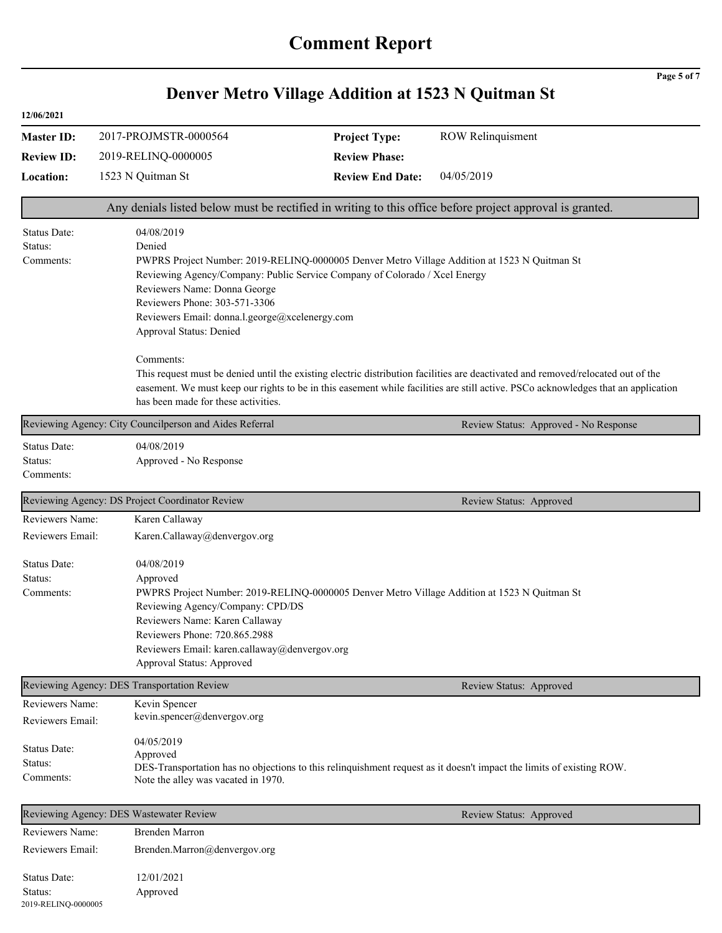|                   |                                                         |                                                                                                                                                             | Page 5 of 7                                                                                              |  |  |  |
|-------------------|---------------------------------------------------------|-------------------------------------------------------------------------------------------------------------------------------------------------------------|----------------------------------------------------------------------------------------------------------|--|--|--|
|                   |                                                         | Denver Metro Village Addition at 1523 N Quitman St                                                                                                          |                                                                                                          |  |  |  |
| 12/06/2021        |                                                         |                                                                                                                                                             |                                                                                                          |  |  |  |
| <b>Master ID:</b> | 2017-PROJMSTR-0000564                                   | <b>Project Type:</b>                                                                                                                                        | <b>ROW Relinquisment</b>                                                                                 |  |  |  |
| <b>Review ID:</b> | 2019-RELINQ-0000005                                     | <b>Review Phase:</b>                                                                                                                                        |                                                                                                          |  |  |  |
| Location:         | 1523 N Quitman St                                       | <b>Review End Date:</b>                                                                                                                                     | 04/05/2019                                                                                               |  |  |  |
|                   |                                                         |                                                                                                                                                             | Any denials listed below must be rectified in writing to this office before project approval is granted. |  |  |  |
| Status Date:      | 04/08/2019                                              |                                                                                                                                                             |                                                                                                          |  |  |  |
| Denied<br>Status: |                                                         |                                                                                                                                                             |                                                                                                          |  |  |  |
| Comments:         |                                                         | PWPRS Project Number: 2019-RELINQ-0000005 Denver Metro Village Addition at 1523 N Quitman St                                                                |                                                                                                          |  |  |  |
|                   |                                                         | Reviewing Agency/Company: Public Service Company of Colorado / Xcel Energy                                                                                  |                                                                                                          |  |  |  |
|                   | Reviewers Phone: 303-571-3306                           | Reviewers Name: Donna George                                                                                                                                |                                                                                                          |  |  |  |
|                   |                                                         |                                                                                                                                                             |                                                                                                          |  |  |  |
|                   | Approval Status: Denied                                 | Reviewers Email: donna.l.george@xcelenergy.com                                                                                                              |                                                                                                          |  |  |  |
|                   | Comments:                                               |                                                                                                                                                             |                                                                                                          |  |  |  |
|                   |                                                         | This request must be denied until the existing electric distribution facilities are deactivated and removed/relocated out of the                            |                                                                                                          |  |  |  |
|                   |                                                         | easement. We must keep our rights to be in this easement while facilities are still active. PSCo acknowledges that an application                           |                                                                                                          |  |  |  |
|                   | has been made for these activities.                     |                                                                                                                                                             |                                                                                                          |  |  |  |
|                   | Reviewing Agency: City Councilperson and Aides Referral |                                                                                                                                                             | Review Status: Approved - No Response                                                                    |  |  |  |
| Status Date:      | 04/08/2019                                              |                                                                                                                                                             |                                                                                                          |  |  |  |
| Status:           | Approved - No Response                                  |                                                                                                                                                             |                                                                                                          |  |  |  |
| Comments:         |                                                         |                                                                                                                                                             |                                                                                                          |  |  |  |
|                   | Reviewing Agency: DS Project Coordinator Review         |                                                                                                                                                             | Review Status: Approved                                                                                  |  |  |  |
| Reviewers Name:   | Karen Callaway                                          |                                                                                                                                                             |                                                                                                          |  |  |  |
| Reviewers Email:  | Karen.Callaway@denvergov.org                            |                                                                                                                                                             |                                                                                                          |  |  |  |
| Status Date:      | 04/08/2019                                              |                                                                                                                                                             |                                                                                                          |  |  |  |
| Status:           | Approved                                                |                                                                                                                                                             |                                                                                                          |  |  |  |
| Comments:         |                                                         | PWPRS Project Number: 2019-RELINQ-0000005 Denver Metro Village Addition at 1523 N Quitman St                                                                |                                                                                                          |  |  |  |
|                   |                                                         | Reviewing Agency/Company: CPD/DS                                                                                                                            |                                                                                                          |  |  |  |
|                   |                                                         | Reviewers Name: Karen Callaway                                                                                                                              |                                                                                                          |  |  |  |
|                   | Reviewers Phone: 720.865.2988                           | Reviewers Email: karen.callaway@denvergov.org                                                                                                               |                                                                                                          |  |  |  |
|                   | Approval Status: Approved                               |                                                                                                                                                             |                                                                                                          |  |  |  |
|                   | Reviewing Agency: DES Transportation Review             |                                                                                                                                                             | Review Status: Approved                                                                                  |  |  |  |
| Reviewers Name:   | Kevin Spencer                                           |                                                                                                                                                             |                                                                                                          |  |  |  |
| Reviewers Email:  | kevin.spencer@denvergov.org                             |                                                                                                                                                             |                                                                                                          |  |  |  |
|                   |                                                         |                                                                                                                                                             |                                                                                                          |  |  |  |
| Status Date:      | 04/05/2019                                              |                                                                                                                                                             |                                                                                                          |  |  |  |
| Status:           |                                                         | Approved                                                                                                                                                    |                                                                                                          |  |  |  |
| Comments:         |                                                         | DES-Transportation has no objections to this relinquishment request as it doesn't impact the limits of existing ROW.<br>Note the alley was vacated in 1970. |                                                                                                          |  |  |  |
|                   | Reviewing Agency: DES Wastewater Review                 |                                                                                                                                                             | Review Status: Approved                                                                                  |  |  |  |
| Reviewers Name:   | <b>Brenden Marron</b>                                   |                                                                                                                                                             |                                                                                                          |  |  |  |
| Reviewers Email:  | Brenden.Marron@denvergov.org                            |                                                                                                                                                             |                                                                                                          |  |  |  |
|                   |                                                         |                                                                                                                                                             |                                                                                                          |  |  |  |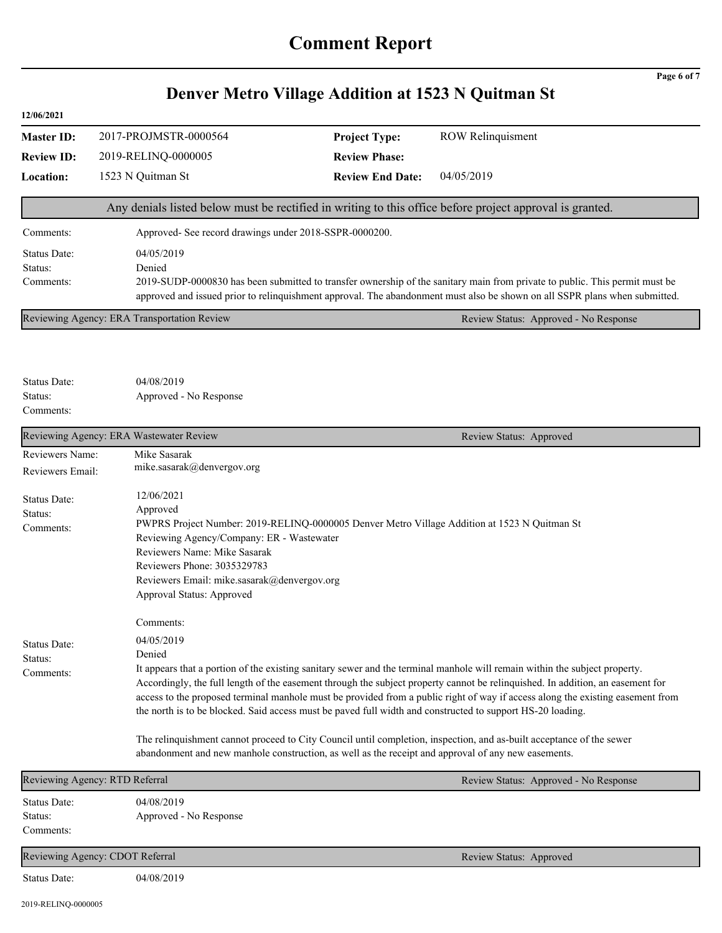# **Denver Metro Village Addition at 1523 N Quitman St**

**Page 6 of 7**

| 12/06/2021                           |                                                                                                                                                                                                                                                                                                                                                                                                                                                                                                                                                                                                                                                                                                                                                                     |                                                                                                                                                                                                                                                           |                                                                                                          |  |
|--------------------------------------|---------------------------------------------------------------------------------------------------------------------------------------------------------------------------------------------------------------------------------------------------------------------------------------------------------------------------------------------------------------------------------------------------------------------------------------------------------------------------------------------------------------------------------------------------------------------------------------------------------------------------------------------------------------------------------------------------------------------------------------------------------------------|-----------------------------------------------------------------------------------------------------------------------------------------------------------------------------------------------------------------------------------------------------------|----------------------------------------------------------------------------------------------------------|--|
| <b>Master ID:</b>                    | 2017-PROJMSTR-0000564                                                                                                                                                                                                                                                                                                                                                                                                                                                                                                                                                                                                                                                                                                                                               | <b>Project Type:</b>                                                                                                                                                                                                                                      | <b>ROW Relinquisment</b>                                                                                 |  |
| <b>Review ID:</b>                    | 2019-RELINQ-0000005                                                                                                                                                                                                                                                                                                                                                                                                                                                                                                                                                                                                                                                                                                                                                 | <b>Review Phase:</b>                                                                                                                                                                                                                                      |                                                                                                          |  |
| <b>Location:</b>                     | 1523 N Quitman St                                                                                                                                                                                                                                                                                                                                                                                                                                                                                                                                                                                                                                                                                                                                                   | <b>Review End Date:</b>                                                                                                                                                                                                                                   | 04/05/2019                                                                                               |  |
|                                      |                                                                                                                                                                                                                                                                                                                                                                                                                                                                                                                                                                                                                                                                                                                                                                     |                                                                                                                                                                                                                                                           | Any denials listed below must be rectified in writing to this office before project approval is granted. |  |
| Comments:                            | Approved- See record drawings under 2018-SSPR-0000200.                                                                                                                                                                                                                                                                                                                                                                                                                                                                                                                                                                                                                                                                                                              |                                                                                                                                                                                                                                                           |                                                                                                          |  |
| Status Date:<br>Status:<br>Comments: | 04/05/2019<br>Denied                                                                                                                                                                                                                                                                                                                                                                                                                                                                                                                                                                                                                                                                                                                                                | 2019-SUDP-0000830 has been submitted to transfer ownership of the sanitary main from private to public. This permit must be<br>approved and issued prior to relinquishment approval. The abandonment must also be shown on all SSPR plans when submitted. |                                                                                                          |  |
|                                      | Reviewing Agency: ERA Transportation Review                                                                                                                                                                                                                                                                                                                                                                                                                                                                                                                                                                                                                                                                                                                         |                                                                                                                                                                                                                                                           | Review Status: Approved - No Response                                                                    |  |
| Status Date:<br>Status:<br>Comments: | 04/08/2019<br>Approved - No Response                                                                                                                                                                                                                                                                                                                                                                                                                                                                                                                                                                                                                                                                                                                                |                                                                                                                                                                                                                                                           |                                                                                                          |  |
|                                      | Reviewing Agency: ERA Wastewater Review                                                                                                                                                                                                                                                                                                                                                                                                                                                                                                                                                                                                                                                                                                                             |                                                                                                                                                                                                                                                           | Review Status: Approved                                                                                  |  |
| Reviewers Name:<br>Reviewers Email:  | Mike Sasarak<br>mike.sasarak@denvergov.org                                                                                                                                                                                                                                                                                                                                                                                                                                                                                                                                                                                                                                                                                                                          |                                                                                                                                                                                                                                                           |                                                                                                          |  |
| Status Date:<br>Status:<br>Comments: | 12/06/2021<br>Approved<br>PWPRS Project Number: 2019-RELINQ-0000005 Denver Metro Village Addition at 1523 N Quitman St<br>Reviewing Agency/Company: ER - Wastewater<br>Reviewers Name: Mike Sasarak<br>Reviewers Phone: 3035329783<br>Reviewers Email: mike.sasarak@denvergov.org<br>Approval Status: Approved<br>Comments:                                                                                                                                                                                                                                                                                                                                                                                                                                         |                                                                                                                                                                                                                                                           |                                                                                                          |  |
| Status Date:<br>Status:<br>Comments: | 04/05/2019<br>Denied<br>It appears that a portion of the existing sanitary sewer and the terminal manhole will remain within the subject property.<br>Accordingly, the full length of the easement through the subject property cannot be relinquished. In addition, an easement for<br>access to the proposed terminal manhole must be provided from a public right of way if access along the existing easement from<br>the north is to be blocked. Said access must be paved full width and constructed to support HS-20 loading.<br>The relinquishment cannot proceed to City Council until completion, inspection, and as-built acceptance of the sewer<br>abandonment and new manhole construction, as well as the receipt and approval of any new easements. |                                                                                                                                                                                                                                                           |                                                                                                          |  |
|                                      | Reviewing Agency: RTD Referral                                                                                                                                                                                                                                                                                                                                                                                                                                                                                                                                                                                                                                                                                                                                      |                                                                                                                                                                                                                                                           | Review Status: Approved - No Response                                                                    |  |
| Status Date:<br>Status:<br>Comments: | 04/08/2019<br>Approved - No Response                                                                                                                                                                                                                                                                                                                                                                                                                                                                                                                                                                                                                                                                                                                                |                                                                                                                                                                                                                                                           |                                                                                                          |  |
|                                      | Reviewing Agency: CDOT Referral                                                                                                                                                                                                                                                                                                                                                                                                                                                                                                                                                                                                                                                                                                                                     |                                                                                                                                                                                                                                                           | Review Status: Approved                                                                                  |  |
| Status Date:                         | 04/08/2019                                                                                                                                                                                                                                                                                                                                                                                                                                                                                                                                                                                                                                                                                                                                                          |                                                                                                                                                                                                                                                           |                                                                                                          |  |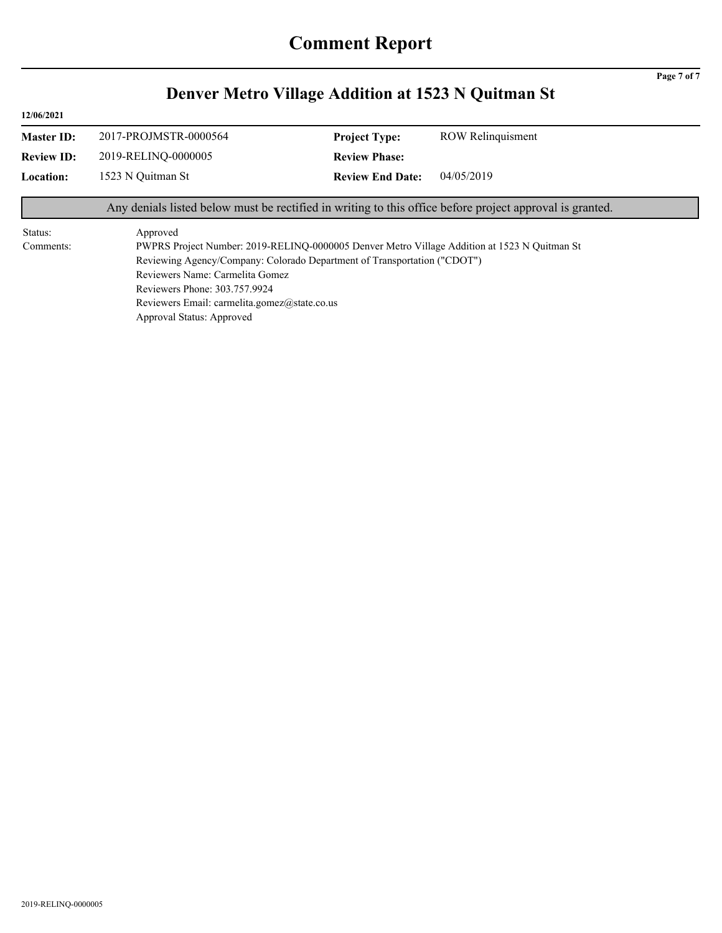|                      |                                                                                                                                                           | Denver Metro Village Addition at 1523 N Quitman St                                                                                                                       |                                                                                                          |
|----------------------|-----------------------------------------------------------------------------------------------------------------------------------------------------------|--------------------------------------------------------------------------------------------------------------------------------------------------------------------------|----------------------------------------------------------------------------------------------------------|
| 12/06/2021           |                                                                                                                                                           |                                                                                                                                                                          |                                                                                                          |
| <b>Master ID:</b>    | 2017-PROJMSTR-0000564                                                                                                                                     | <b>Project Type:</b>                                                                                                                                                     | <b>ROW Relinquisment</b>                                                                                 |
| <b>Review ID:</b>    | 2019-RELINO-0000005                                                                                                                                       | <b>Review Phase:</b>                                                                                                                                                     |                                                                                                          |
| <b>Location:</b>     | 1523 N Quitman St                                                                                                                                         | <b>Review End Date:</b>                                                                                                                                                  | 04/05/2019                                                                                               |
|                      |                                                                                                                                                           |                                                                                                                                                                          | Any denials listed below must be rectified in writing to this office before project approval is granted. |
| Status:<br>Comments: | Approved<br>Reviewers Name: Carmelita Gomez<br>Reviewers Phone: 303.757.9924<br>Reviewers Email: carmelita.gomez@state.co.us<br>Approval Status: Approved | PWPRS Project Number: 2019-RELINQ-0000005 Denver Metro Village Addition at 1523 N Quitman St<br>Reviewing Agency/Company: Colorado Department of Transportation ("CDOT") |                                                                                                          |

# **Denver Metro Village Addition at 1523 N Quitman St**

**Page 7 of 7**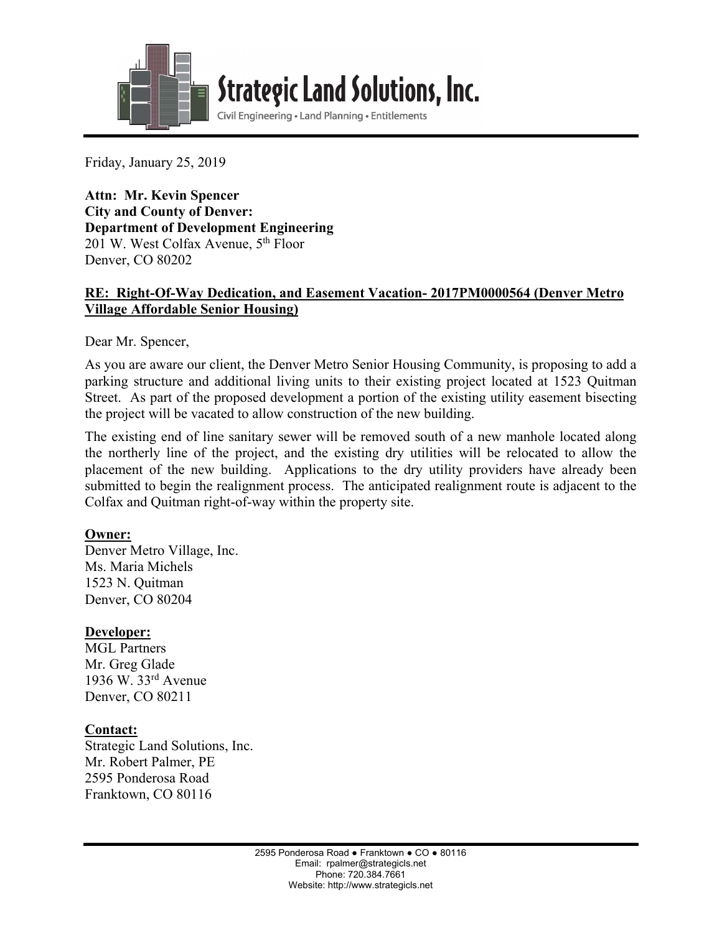

**Strategic Land Solutions, Inc.** 

Civil Engineering . Land Planning . Entitlements

Friday, January 25, 2019

l

**Attn: Mr. Kevin Spencer City and County of Denver: Department of Development Engineering**  201 W. West Colfax Avenue, 5<sup>th</sup> Floor Denver, CO 80202

#### **RE: Right-Of-Way Dedication, and Easement Vacation- 2017PM0000564 (Denver Metro Village Affordable Senior Housing)**

Dear Mr. Spencer,

As you are aware our client, the Denver Metro Senior Housing Community, is proposing to add a parking structure and additional living units to their existing project located at 1523 Quitman Street. As part of the proposed development a portion of the existing utility easement bisecting the project will be vacated to allow construction of the new building.

The existing end of line sanitary sewer will be removed south of a new manhole located along the northerly line of the project, and the existing dry utilities will be relocated to allow the placement of the new building. Applications to the dry utility providers have already been submitted to begin the realignment process. The anticipated realignment route is adjacent to the Colfax and Quitman right-of-way within the property site.

## **Owner:**

Denver Metro Village, Inc. Ms. Maria Michels 1523 N. Quitman Denver, CO 80204

## **Developer:**

MGL Partners Mr. Greg Glade 1936 W. 33rd Avenue Denver, CO 80211

## **Contact:**

Strategic Land Solutions, Inc. Mr. Robert Palmer, PE 2595 Ponderosa Road Franktown, CO 80116